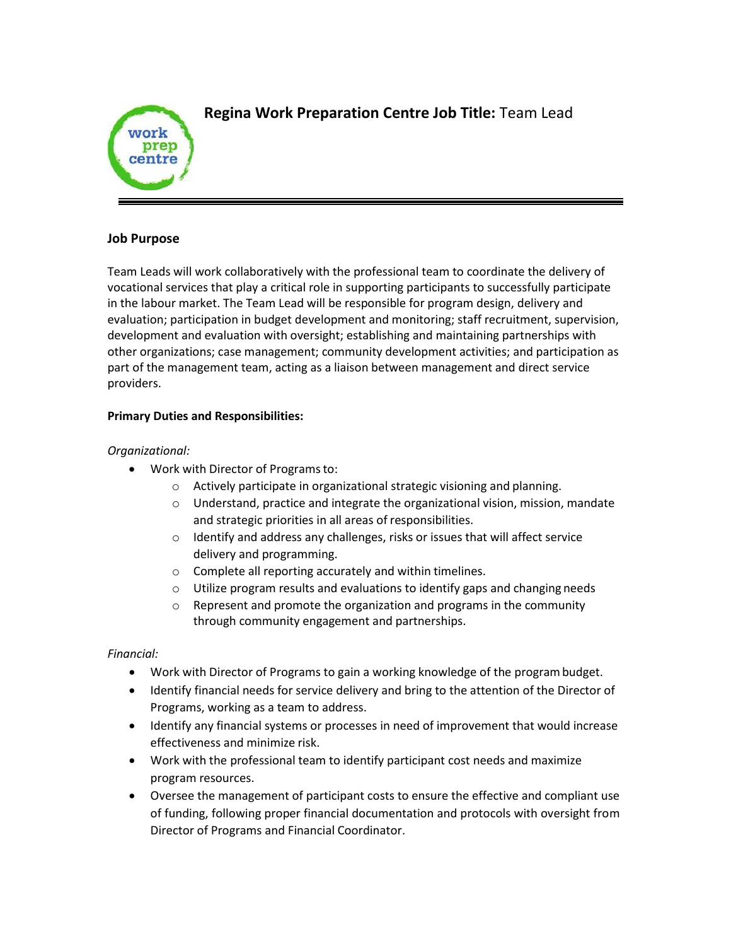

# **Regina Work Preparation Centre Job Title:** Team Lead

## **Job Purpose**

Team Leads will work collaboratively with the professional team to coordinate the delivery of vocational services that play a critical role in supporting participants to successfully participate in the labour market. The Team Lead will be responsible for program design, delivery and evaluation; participation in budget development and monitoring; staff recruitment, supervision, development and evaluation with oversight; establishing and maintaining partnerships with other organizations; case management; community development activities; and participation as part of the management team, acting as a liaison between management and direct service providers.

## **Primary Duties and Responsibilities:**

## *Organizational:*

- Work with Director of Programsto:
	- o Actively participate in organizational strategic visioning and planning.
	- o Understand, practice and integrate the organizational vision, mission, mandate and strategic priorities in all areas of responsibilities.
	- o Identify and address any challenges, risks or issues that will affect service delivery and programming.
	- o Complete all reporting accurately and within timelines.
	- $\circ$  Utilize program results and evaluations to identify gaps and changing needs
	- o Represent and promote the organization and programs in the community through community engagement and partnerships.

# *Financial:*

- Work with Director of Programs to gain a working knowledge of the programbudget.
- Identify financial needs for service delivery and bring to the attention of the Director of Programs, working as a team to address.
- Identify any financial systems or processes in need of improvement that would increase effectiveness and minimize risk.
- Work with the professional team to identify participant cost needs and maximize program resources.
- Oversee the management of participant costs to ensure the effective and compliant use of funding, following proper financial documentation and protocols with oversight from Director of Programs and Financial Coordinator.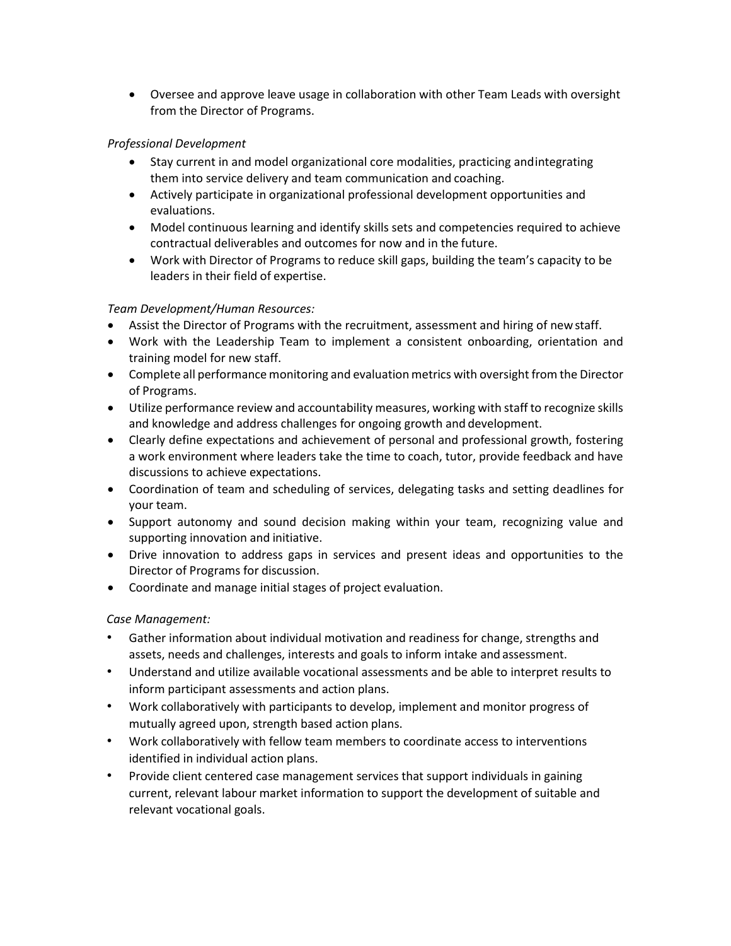Oversee and approve leave usage in collaboration with other Team Leads with oversight from the Director of Programs.

## *Professional Development*

- Stay current in and model organizational core modalities, practicing andintegrating them into service delivery and team communication and coaching.
- Actively participate in organizational professional development opportunities and evaluations.
- Model continuous learning and identify skills sets and competencies required to achieve contractual deliverables and outcomes for now and in the future.
- Work with Director of Programs to reduce skill gaps, building the team's capacity to be leaders in their field of expertise.

# *Team Development/Human Resources:*

- Assist the Director of Programs with the recruitment, assessment and hiring of newstaff.
- Work with the Leadership Team to implement a consistent onboarding, orientation and training model for new staff.
- Complete all performance monitoring and evaluation metrics with oversight from the Director of Programs.
- Utilize performance review and accountability measures, working with staff to recognize skills and knowledge and address challenges for ongoing growth and development.
- Clearly define expectations and achievement of personal and professional growth, fostering a work environment where leaders take the time to coach, tutor, provide feedback and have discussions to achieve expectations.
- Coordination of team and scheduling of services, delegating tasks and setting deadlines for your team.
- Support autonomy and sound decision making within your team, recognizing value and supporting innovation and initiative.
- Drive innovation to address gaps in services and present ideas and opportunities to the Director of Programs for discussion.
- Coordinate and manage initial stages of project evaluation.

# *Case Management:*

- Gather information about individual motivation and readiness for change, strengths and assets, needs and challenges, interests and goals to inform intake and assessment.
- Understand and utilize available vocational assessments and be able to interpret results to inform participant assessments and action plans.
- Work collaboratively with participants to develop, implement and monitor progress of mutually agreed upon, strength based action plans.
- Work collaboratively with fellow team members to coordinate access to interventions identified in individual action plans.
- Provide client centered case management services that support individuals in gaining current, relevant labour market information to support the development of suitable and relevant vocational goals.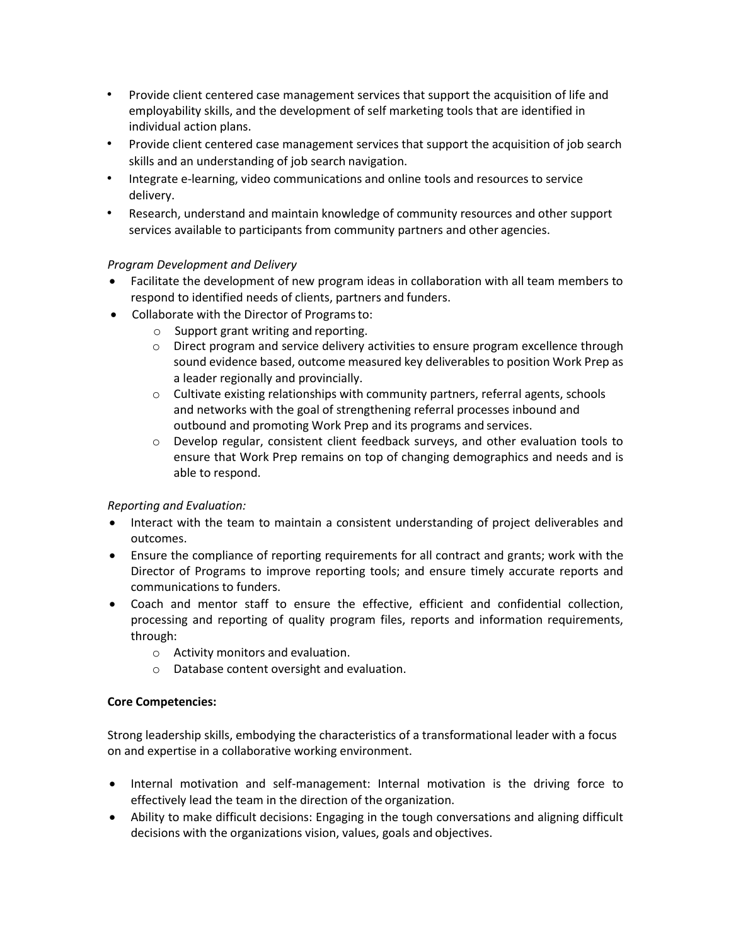- Provide client centered case management services that support the acquisition of life and employability skills, and the development of self marketing tools that are identified in individual action plans.
- Provide client centered case management services that support the acquisition of job search skills and an understanding of job search navigation.
- Integrate e-learning, video communications and online tools and resources to service delivery.
- Research, understand and maintain knowledge of community resources and other support services available to participants from community partners and other agencies.

# *Program Development and Delivery*

- Facilitate the development of new program ideas in collaboration with all team members to respond to identified needs of clients, partners and funders.
- Collaborate with the Director of Programs to:
	- o Support grant writing and reporting.
	- o Direct program and service delivery activities to ensure program excellence through sound evidence based, outcome measured key deliverables to position Work Prep as a leader regionally and provincially.
	- $\circ$  Cultivate existing relationships with community partners, referral agents, schools and networks with the goal of strengthening referral processes inbound and outbound and promoting Work Prep and its programs and services.
	- o Develop regular, consistent client feedback surveys, and other evaluation tools to ensure that Work Prep remains on top of changing demographics and needs and is able to respond.

# *Reporting and Evaluation:*

- Interact with the team to maintain a consistent understanding of project deliverables and outcomes.
- Ensure the compliance of reporting requirements for all contract and grants; work with the Director of Programs to improve reporting tools; and ensure timely accurate reports and communications to funders.
- Coach and mentor staff to ensure the effective, efficient and confidential collection, processing and reporting of quality program files, reports and information requirements, through:
	- o Activity monitors and evaluation.
	- o Database content oversight and evaluation.

#### **Core Competencies:**

Strong leadership skills, embodying the characteristics of a transformational leader with a focus on and expertise in a collaborative working environment.

- Internal motivation and self-management: Internal motivation is the driving force to effectively lead the team in the direction of the organization.
- Ability to make difficult decisions: Engaging in the tough conversations and aligning difficult decisions with the organizations vision, values, goals and objectives.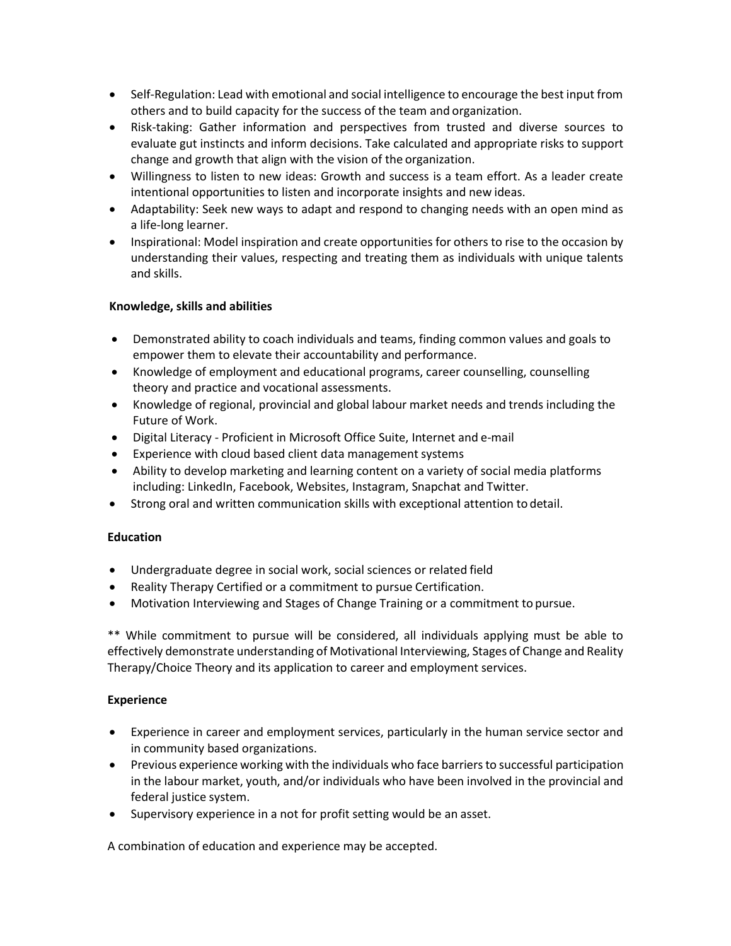- Self-Regulation: Lead with emotional and social intelligence to encourage the best input from others and to build capacity for the success of the team and organization.
- Risk-taking: Gather information and perspectives from trusted and diverse sources to evaluate gut instincts and inform decisions. Take calculated and appropriate risks to support change and growth that align with the vision of the organization.
- Willingness to listen to new ideas: Growth and success is a team effort. As a leader create intentional opportunities to listen and incorporate insights and new ideas.
- Adaptability: Seek new ways to adapt and respond to changing needs with an open mind as a life-long learner.
- Inspirational: Model inspiration and create opportunities for others to rise to the occasion by understanding their values, respecting and treating them as individuals with unique talents and skills.

## **Knowledge, skills and abilities**

- Demonstrated ability to coach individuals and teams, finding common values and goals to empower them to elevate their accountability and performance.
- Knowledge of employment and educational programs, career counselling, counselling theory and practice and vocational assessments.
- Knowledge of regional, provincial and global labour market needs and trends including the Future of Work.
- Digital Literacy Proficient in Microsoft Office Suite, Internet and e-mail
- Experience with cloud based client data management systems
- Ability to develop marketing and learning content on a variety of social media platforms including: LinkedIn, Facebook, Websites, Instagram, Snapchat and Twitter.
- Strong oral and written communication skills with exceptional attention to detail.

#### **Education**

- Undergraduate degree in social work, social sciences or related field
- Reality Therapy Certified or a commitment to pursue Certification.
- Motivation Interviewing and Stages of Change Training or a commitment to pursue.

\*\* While commitment to pursue will be considered, all individuals applying must be able to effectively demonstrate understanding of Motivational Interviewing, Stages of Change and Reality Therapy/Choice Theory and its application to career and employment services.

#### **Experience**

- Experience in career and employment services, particularly in the human service sector and in community based organizations.
- Previous experience working with the individuals who face barriers to successful participation in the labour market, youth, and/or individuals who have been involved in the provincial and federal justice system.
- Supervisory experience in a not for profit setting would be an asset.

A combination of education and experience may be accepted.